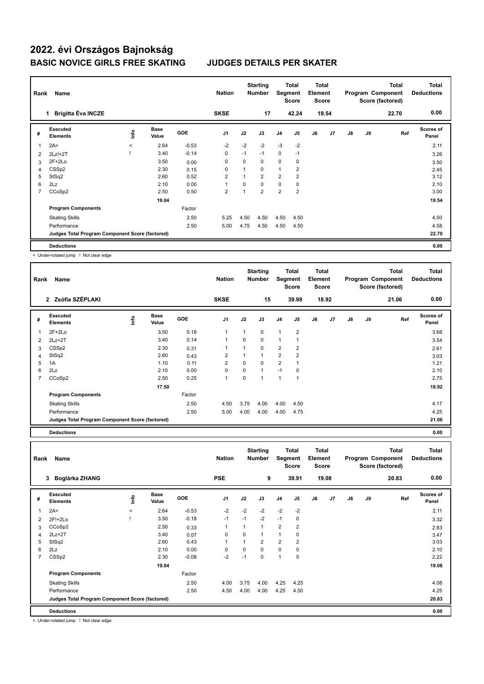| Rank           | Name                                            |         |                      |            | <b>Nation</b>  |              | <b>Starting</b><br><b>Number</b> | Segment        | Total<br><b>Score</b> | <b>Total</b><br>Element<br><b>Score</b> |       |               |    | <b>Total</b><br>Program Component<br>Score (factored) | <b>Total</b><br><b>Deductions</b> |
|----------------|-------------------------------------------------|---------|----------------------|------------|----------------|--------------|----------------------------------|----------------|-----------------------|-----------------------------------------|-------|---------------|----|-------------------------------------------------------|-----------------------------------|
|                | <b>Brigitta Éva INCZE</b>                       |         |                      |            | <b>SKSE</b>    |              | 17                               |                | 42.24                 |                                         | 19.54 |               |    | 22.70                                                 | 0.00                              |
| #              | <b>Executed</b><br><b>Elements</b>              | lnfo    | <b>Base</b><br>Value | <b>GOE</b> | J <sub>1</sub> | J2           | J3                               | J <sub>4</sub> | J5                    | J6                                      | J7    | $\mathsf{J}8$ | J9 | Ref                                                   | <b>Scores of</b><br>Panel         |
| 1              | 2A<                                             | $\prec$ | 2.64                 | $-0.53$    | $-2$           | $-2$         | $-2$                             | $-3$           | $-2$                  |                                         |       |               |    |                                                       | 2.11                              |
| $\overline{2}$ | 2Lz!+2T                                         |         | 3.40                 | $-0.14$    | 0              | $-1$         | $-1$                             | $\mathbf 0$    | $-1$                  |                                         |       |               |    |                                                       | 3.26                              |
| 3              | $2F+2Lo$                                        |         | 3.50                 | 0.00       | 0              | 0            | 0                                | 0              | 0                     |                                         |       |               |    |                                                       | 3.50                              |
| 4              | CSSp2                                           |         | 2.30                 | 0.15       | 0              | $\mathbf{1}$ | 0                                | 1              | 2                     |                                         |       |               |    |                                                       | 2.45                              |
| 5              | StSq2                                           |         | 2.60                 | 0.52       | $\overline{2}$ |              | $\overline{2}$                   | $\overline{2}$ | $\overline{2}$        |                                         |       |               |    |                                                       | 3.12                              |
| 6              | 2Lz                                             |         | 2.10                 | 0.00       | 1              | 0            | $\Omega$                         | 0              | 0                     |                                         |       |               |    |                                                       | 2.10                              |
| 7              | CCoSp2                                          |         | 2.50                 | 0.50       | $\overline{2}$ |              | $\overline{2}$                   | $\overline{2}$ | $\overline{2}$        |                                         |       |               |    |                                                       | 3.00                              |
|                |                                                 |         | 19.04                |            |                |              |                                  |                |                       |                                         |       |               |    |                                                       | 19.54                             |
|                | <b>Program Components</b>                       |         |                      | Factor     |                |              |                                  |                |                       |                                         |       |               |    |                                                       |                                   |
|                | <b>Skating Skills</b>                           |         |                      | 2.50       | 5.25           | 4.50         | 4.50                             | 4.50           | 4.50                  |                                         |       |               |    |                                                       | 4.50                              |
|                | Performance                                     |         |                      | 2.50       | 5.00           | 4.75         | 4.50                             | 4.50           | 4.50                  |                                         |       |               |    |                                                       | 4.58                              |
|                | Judges Total Program Component Score (factored) |         |                      |            |                |              |                                  |                |                       |                                         |       |               |    |                                                       | 22.70                             |
|                | <b>Deductions</b>                               |         |                      |            |                |              |                                  |                |                       |                                         |       |               |    |                                                       | 0.00                              |

< Under-rotated jump ! Not clear edge

| Rank | Name                                            |      |                      |        | <b>Nation</b>  |              | <b>Starting</b><br><b>Number</b> |                | <b>Total</b><br>Segment<br><b>Score</b> | <b>Total</b><br>Element<br><b>Score</b> |       |    |    | <b>Total</b><br>Program Component<br>Score (factored) | <b>Total</b><br><b>Deductions</b> |
|------|-------------------------------------------------|------|----------------------|--------|----------------|--------------|----------------------------------|----------------|-----------------------------------------|-----------------------------------------|-------|----|----|-------------------------------------------------------|-----------------------------------|
|      | 2 Zsófia SZÉPLAKI                               |      |                      |        | <b>SKSE</b>    |              | 15                               |                | 39.98                                   |                                         | 18.92 |    |    | 21.06                                                 | 0.00                              |
| #    | Executed<br><b>Elements</b>                     | lnfo | <b>Base</b><br>Value | GOE    | J <sub>1</sub> | J2           | J3                               | J <sub>4</sub> | J5                                      | J6                                      | J7    | J8 | J9 | Ref                                                   | Scores of<br>Panel                |
|      | $2F+2Lo$                                        |      | 3.50                 | 0.18   | 1              | $\mathbf{1}$ | 0                                | $\overline{1}$ | $\overline{2}$                          |                                         |       |    |    |                                                       | 3.68                              |
| 2    | $2Lz+2T$                                        |      | 3.40                 | 0.14   | 1              | $\Omega$     | 0                                | $\mathbf{1}$   |                                         |                                         |       |    |    |                                                       | 3.54                              |
| 3    | CSS <sub>p2</sub>                               |      | 2.30                 | 0.31   | 1              | 1            | 0                                | 2              | $\overline{2}$                          |                                         |       |    |    |                                                       | 2.61                              |
| 4    | StSq2                                           |      | 2.60                 | 0.43   | 2              |              | $\mathbf{1}$                     | 2              | $\overline{2}$                          |                                         |       |    |    |                                                       | 3.03                              |
| 5    | 1A                                              |      | 1.10                 | 0.11   | $\overline{2}$ | 0            | 0                                | $\overline{2}$ |                                         |                                         |       |    |    |                                                       | 1.21                              |
| 6    | 2Lz                                             |      | 2.10                 | 0.00   | $\mathbf 0$    | 0            | $\mathbf{1}$                     | $-1$           | 0                                       |                                         |       |    |    |                                                       | 2.10                              |
| 7    | CCoSp2                                          |      | 2.50                 | 0.25   | $\mathbf{1}$   | $\mathbf 0$  | 1                                | $\overline{1}$ | $\mathbf 1$                             |                                         |       |    |    |                                                       | 2.75                              |
|      |                                                 |      | 17.50                |        |                |              |                                  |                |                                         |                                         |       |    |    |                                                       | 18.92                             |
|      | <b>Program Components</b>                       |      |                      | Factor |                |              |                                  |                |                                         |                                         |       |    |    |                                                       |                                   |
|      | <b>Skating Skills</b>                           |      |                      | 2.50   | 4.50           | 3.75         | 4.00                             | 4.00           | 4.50                                    |                                         |       |    |    |                                                       | 4.17                              |
|      | Performance                                     |      |                      | 2.50   | 5.00           | 4.00         | 4.00                             | 4.00           | 4.75                                    |                                         |       |    |    |                                                       | 4.25                              |
|      | Judges Total Program Component Score (factored) |      |                      |        |                |              |                                  |                |                                         |                                         |       |    |    |                                                       | 21.06                             |
|      | <b>Deductions</b>                               |      |                      |        |                |              |                                  |                |                                         |                                         |       |    |    |                                                       | 0.00                              |

| Rank | Name                                            |         |                      |            | <b>Nation</b>  |      | <b>Starting</b><br><b>Number</b> |                | Total<br>Segment<br><b>Score</b> | Total<br>Element<br><b>Score</b> |       |               |    | Total<br>Program Component<br>Score (factored) | <b>Total</b><br><b>Deductions</b> |
|------|-------------------------------------------------|---------|----------------------|------------|----------------|------|----------------------------------|----------------|----------------------------------|----------------------------------|-------|---------------|----|------------------------------------------------|-----------------------------------|
|      | Boglárka ZHANG<br>3                             |         |                      |            | <b>PSE</b>     |      | 9                                |                | 39.91                            |                                  | 19.08 |               |    | 20.83                                          | 0.00                              |
| #    | <b>Executed</b><br><b>Elements</b>              | Info    | <b>Base</b><br>Value | <b>GOE</b> | J <sub>1</sub> | J2   | J3                               | J <sub>4</sub> | J <sub>5</sub>                   | J6                               | J7    | $\mathsf{J}8$ | J9 | Ref                                            | <b>Scores of</b><br>Panel         |
|      | 2A<                                             | $\prec$ | 2.64                 | $-0.53$    | $-2$           | $-2$ | $-2$                             | $-2$           | $-2$                             |                                  |       |               |    |                                                | 2.11                              |
| 2    | 2F!+2Lo                                         |         | 3.50                 | $-0.18$    | $-1$           | $-1$ | $-2$                             | $-1$           | 0                                |                                  |       |               |    |                                                | 3.32                              |
| 3    | CCoSp2                                          |         | 2.50                 | 0.33       |                | 1    | 1                                | $\overline{2}$ | $\overline{2}$                   |                                  |       |               |    |                                                | 2.83                              |
| 4    | $2Lz + 2T$                                      |         | 3.40                 | 0.07       | 0              | 0    | 1                                | 1              | 0                                |                                  |       |               |    |                                                | 3.47                              |
| 5    | StSq2                                           |         | 2.60                 | 0.43       | 1              | 1    | $\overline{2}$                   | $\overline{2}$ | 2                                |                                  |       |               |    |                                                | 3.03                              |
| 6    | 2Lz                                             |         | 2.10                 | 0.00       | 0              | 0    | $\mathbf 0$                      | $\mathbf 0$    | 0                                |                                  |       |               |    |                                                | 2.10                              |
| 7    | CSS <sub>p2</sub>                               |         | 2.30                 | $-0.08$    | $-2$           | $-1$ | 0                                | 1              | 0                                |                                  |       |               |    |                                                | 2.22                              |
|      |                                                 |         | 19.04                |            |                |      |                                  |                |                                  |                                  |       |               |    |                                                | 19.08                             |
|      | <b>Program Components</b>                       |         |                      | Factor     |                |      |                                  |                |                                  |                                  |       |               |    |                                                |                                   |
|      | <b>Skating Skills</b>                           |         |                      | 2.50       | 4.00           | 3.75 | 4.00                             | 4.25           | 4.25                             |                                  |       |               |    |                                                | 4.08                              |
|      | Performance                                     |         |                      | 2.50       | 4.50           | 4.00 | 4.00                             | 4.25           | 4.50                             |                                  |       |               |    |                                                | 4.25                              |
|      | Judges Total Program Component Score (factored) |         |                      |            |                |      |                                  |                |                                  |                                  |       |               |    |                                                | 20.83                             |
|      | <b>Deductions</b>                               |         |                      |            |                |      |                                  |                |                                  |                                  |       |               |    |                                                | 0.00                              |

< Under-rotated jump ! Not clear edge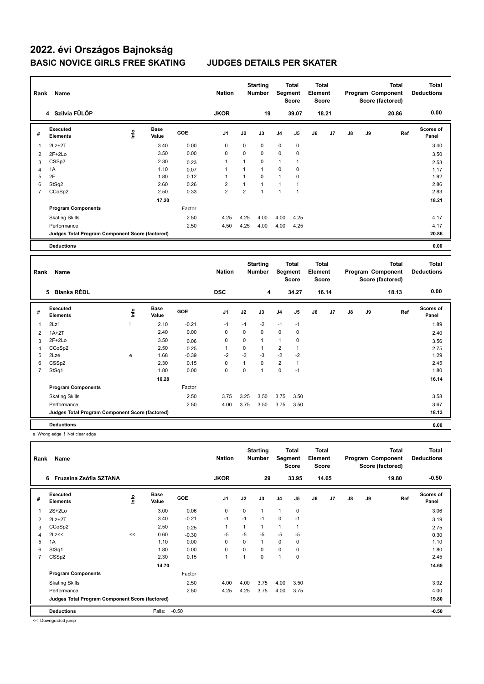|   | Rank<br>Name<br>4 Szilvia FÜLÖP                 |      |                      |        | <b>Nation</b>  |                | <b>Starting</b><br><b>Number</b> |                | <b>Total</b><br><b>Segment</b><br><b>Score</b> | <b>Total</b><br>Element<br>Score |       |               |    | <b>Total</b><br>Program Component<br>Score (factored) | <b>Total</b><br><b>Deductions</b> |
|---|-------------------------------------------------|------|----------------------|--------|----------------|----------------|----------------------------------|----------------|------------------------------------------------|----------------------------------|-------|---------------|----|-------------------------------------------------------|-----------------------------------|
|   |                                                 |      |                      |        | <b>JKOR</b>    |                | 19                               |                | 39.07                                          |                                  | 18.21 |               |    | 20.86                                                 | 0.00                              |
| # | Executed<br><b>Elements</b>                     | lnfo | <b>Base</b><br>Value | GOE    | J <sub>1</sub> | J2             | J3                               | J <sub>4</sub> | J5                                             | J6                               | J7    | $\mathsf{J}8$ | J9 | Ref                                                   | <b>Scores of</b><br>Panel         |
| 1 | $2Lz + 2T$                                      |      | 3.40                 | 0.00   | 0              | $\mathbf 0$    | $\mathbf 0$                      | $\mathbf 0$    | $\mathbf 0$                                    |                                  |       |               |    |                                                       | 3.40                              |
| 2 | $2F+2Lo$                                        |      | 3.50                 | 0.00   | 0              | $\mathbf 0$    | $\mathbf 0$                      | 0              | 0                                              |                                  |       |               |    |                                                       | 3.50                              |
| 3 | CSS <sub>p2</sub>                               |      | 2.30                 | 0.23   |                | $\mathbf{1}$   | $\mathbf 0$                      | 1              | $\overline{1}$                                 |                                  |       |               |    |                                                       | 2.53                              |
| 4 | 1A                                              |      | 1.10                 | 0.07   |                | $\overline{ }$ | 1                                | 0              | 0                                              |                                  |       |               |    |                                                       | 1.17                              |
| 5 | 2F                                              |      | 1.80                 | 0.12   |                | $\mathbf{1}$   | $\mathbf 0$                      | 1              | 0                                              |                                  |       |               |    |                                                       | 1.92                              |
| 6 | StSq2                                           |      | 2.60                 | 0.26   | $\overline{2}$ | 1              | $\mathbf{1}$                     | 1              | 1                                              |                                  |       |               |    |                                                       | 2.86                              |
| 7 | CCoSp2                                          |      | 2.50                 | 0.33   | $\overline{2}$ | $\overline{2}$ | 1                                | $\overline{1}$ | $\overline{1}$                                 |                                  |       |               |    |                                                       | 2.83                              |
|   |                                                 |      | 17.20                |        |                |                |                                  |                |                                                |                                  |       |               |    |                                                       | 18.21                             |
|   | <b>Program Components</b>                       |      |                      | Factor |                |                |                                  |                |                                                |                                  |       |               |    |                                                       |                                   |
|   | <b>Skating Skills</b>                           |      |                      | 2.50   | 4.25           | 4.25           | 4.00                             | 4.00           | 4.25                                           |                                  |       |               |    |                                                       | 4.17                              |
|   | Performance                                     |      |                      | 2.50   | 4.50           | 4.25           | 4.00                             | 4.00           | 4.25                                           |                                  |       |               |    |                                                       | 4.17                              |
|   | Judges Total Program Component Score (factored) |      |                      |        |                |                |                                  |                |                                                |                                  |       |               |    |                                                       | 20.86                             |
|   | <b>Deductions</b>                               |      |                      |        |                |                |                                  |                |                                                |                                  |       |               |    |                                                       | 0.00                              |
|   |                                                 |      |                      |        |                |                | <b>Starting</b>                  |                | <b>Total</b>                                   | <b>Total</b>                     |       |               |    | <b>Total</b>                                          | <b>Total</b>                      |

| Rank           | Name                                            |             |               |         | <b>Nation</b>  |             | <b>Starting</b><br><b>Number</b> |                | Total<br>Segment<br><b>Score</b> | Total<br>Element<br>Score |       |    |    | Total<br>Program Component<br>Score (factored) | Total<br><b>Deductions</b> |  |
|----------------|-------------------------------------------------|-------------|---------------|---------|----------------|-------------|----------------------------------|----------------|----------------------------------|---------------------------|-------|----|----|------------------------------------------------|----------------------------|--|
|                | <b>Blanka RÉDL</b><br>5.                        |             |               |         | <b>DSC</b>     |             | 4                                |                | 34.27                            |                           | 16.14 |    |    | 18.13                                          | 0.00                       |  |
| #              | <b>Executed</b><br><b>Elements</b>              | <u>info</u> | Base<br>Value | GOE     | J <sub>1</sub> | J2          | J3                               | J <sub>4</sub> | J5                               | J6                        | J7    | J8 | J9 | Ref                                            | <b>Scores of</b><br>Panel  |  |
| 1              | 2Lz!                                            |             | 2.10          | $-0.21$ | $-1$           | $-1$        | $-2$                             | $-1$           | $-1$                             |                           |       |    |    |                                                | 1.89                       |  |
| 2              | $1A+2T$                                         |             | 2.40          | 0.00    | 0              | 0           | $\mathbf 0$                      | $\pmb{0}$      | 0                                |                           |       |    |    |                                                | 2.40                       |  |
| 3              | $2F+2Lo$                                        |             | 3.50          | 0.06    | 0              | 0           | 1                                | 1              | 0                                |                           |       |    |    |                                                | 3.56                       |  |
| 4              | CCoSp2                                          |             | 2.50          | 0.25    |                | $\mathbf 0$ | 1                                | $\overline{2}$ | 1                                |                           |       |    |    |                                                | 2.75                       |  |
| 5              | 2Lze                                            | e           | 1.68          | $-0.39$ | $-2$           | $-3$        | $-3$                             | $-2$           | $-2$                             |                           |       |    |    |                                                | 1.29                       |  |
| 6              | CSS <sub>p2</sub>                               |             | 2.30          | 0.15    | 0              | 1           | $\mathbf 0$                      | $\overline{2}$ | 1                                |                           |       |    |    |                                                | 2.45                       |  |
| $\overline{7}$ | StSq1                                           |             | 1.80          | 0.00    | $\Omega$       | 0           | 1                                | $\mathbf 0$    | $-1$                             |                           |       |    |    |                                                | 1.80                       |  |
|                |                                                 |             | 16.28         |         |                |             |                                  |                |                                  |                           |       |    |    |                                                | 16.14                      |  |
|                | <b>Program Components</b>                       |             |               | Factor  |                |             |                                  |                |                                  |                           |       |    |    |                                                |                            |  |
|                | <b>Skating Skills</b>                           |             |               | 2.50    | 3.75           | 3.25        | 3.50                             | 3.75           | 3.50                             |                           |       |    |    |                                                | 3.58                       |  |
|                | Performance                                     |             |               | 2.50    | 4.00           | 3.75        | 3.50                             | 3.75           | 3.50                             |                           |       |    |    |                                                | 3.67                       |  |
|                | Judges Total Program Component Score (factored) |             |               |         |                |             |                                  |                |                                  |                           |       |    |    |                                                | 18.13                      |  |
|                | <b>Deductions</b>                               |             |               |         |                |             |                                  |                |                                  |                           |       |    |    |                                                | 0.00                       |  |

e Wrong edge ! Not clear edge

| Rank           | Name                                            |    |                      |         | <b>Nation</b>  |      | <b>Starting</b><br><b>Number</b> | Segment        | Total<br><b>Score</b> | <b>Total</b><br>Element<br><b>Score</b> |                |    |    | Total<br>Program Component<br>Score (factored) | <b>Total</b><br><b>Deductions</b> |
|----------------|-------------------------------------------------|----|----------------------|---------|----------------|------|----------------------------------|----------------|-----------------------|-----------------------------------------|----------------|----|----|------------------------------------------------|-----------------------------------|
|                | Fruzsina Zsófia SZTANA<br>6                     |    |                      |         | <b>JKOR</b>    |      | 29                               |                | 33.95                 |                                         | 14.65          |    |    | 19.80                                          | $-0.50$                           |
| #              | Executed<br><b>Elements</b>                     | ۴  | <b>Base</b><br>Value | GOE     | J <sub>1</sub> | J2   | J3                               | J <sub>4</sub> | J <sub>5</sub>        | J6                                      | J <sub>7</sub> | J8 | J9 | Ref                                            | <b>Scores of</b><br>Panel         |
| 1              | $2S+2Lo$                                        |    | 3.00                 | 0.06    | 0              | 0    | 1                                | $\overline{1}$ | 0                     |                                         |                |    |    |                                                | 3.06                              |
| 2              | $2Lz+2T$                                        |    | 3.40                 | $-0.21$ | $-1$           | $-1$ | $-1$                             | $\mathbf 0$    | $-1$                  |                                         |                |    |    |                                                | 3.19                              |
| 3              | CCoSp2                                          |    | 2.50                 | 0.25    |                | 1    | 1                                | $\overline{1}$ |                       |                                         |                |    |    |                                                | 2.75                              |
| 4              | 2Lz<<                                           | << | 0.60                 | $-0.30$ | -5             | $-5$ | $-5$                             | $-5$           | -5                    |                                         |                |    |    |                                                | 0.30                              |
| 5              | 1A                                              |    | 1.10                 | 0.00    | 0              | 0    | $\mathbf{1}$                     | $\mathbf 0$    | 0                     |                                         |                |    |    |                                                | 1.10                              |
| 6              | StSq1                                           |    | 1.80                 | 0.00    | $\mathbf 0$    | 0    | $\Omega$                         | $\mathbf 0$    | 0                     |                                         |                |    |    |                                                | 1.80                              |
| $\overline{7}$ | CSSp2                                           |    | 2.30                 | 0.15    | $\mathbf{1}$   | 1    | 0                                | 1              | 0                     |                                         |                |    |    |                                                | 2.45                              |
|                |                                                 |    | 14.70                |         |                |      |                                  |                |                       |                                         |                |    |    |                                                | 14.65                             |
|                | <b>Program Components</b>                       |    |                      | Factor  |                |      |                                  |                |                       |                                         |                |    |    |                                                |                                   |
|                | <b>Skating Skills</b>                           |    |                      | 2.50    | 4.00           | 4.00 | 3.75                             | 4.00           | 3.50                  |                                         |                |    |    |                                                | 3.92                              |
|                | Performance                                     |    |                      | 2.50    | 4.25           | 4.25 | 3.75                             | 4.00           | 3.75                  |                                         |                |    |    |                                                | 4.00                              |
|                | Judges Total Program Component Score (factored) |    |                      |         |                |      |                                  |                |                       |                                         |                |    |    |                                                | 19.80                             |
|                | <b>Deductions</b>                               |    | Falls:               | $-0.50$ |                |      |                                  |                |                       |                                         |                |    |    |                                                | $-0.50$                           |
|                | <b>SA Decimandad from a</b>                     |    |                      |         |                |      |                                  |                |                       |                                         |                |    |    |                                                |                                   |

<< Downgraded jump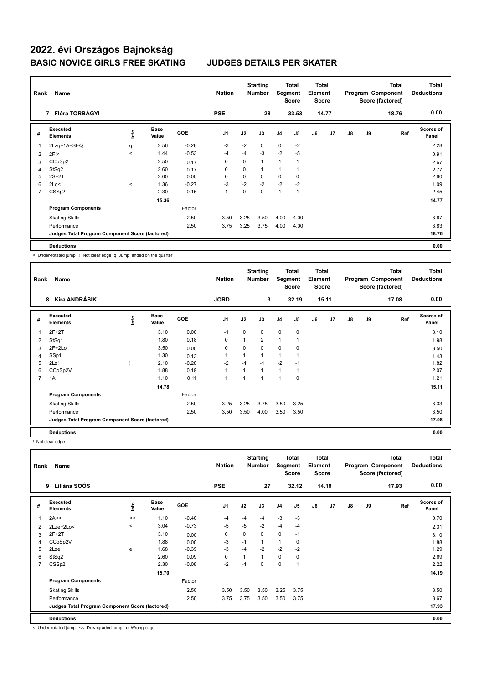| Rank           | Name                                            |         |                      |            | <b>Nation</b>  |             | <b>Starting</b><br><b>Number</b> | Segment        | <b>Total</b><br><b>Score</b> | Total<br>Element<br><b>Score</b> |                |               |    | <b>Total</b><br>Program Component<br>Score (factored) | <b>Total</b><br><b>Deductions</b> |
|----------------|-------------------------------------------------|---------|----------------------|------------|----------------|-------------|----------------------------------|----------------|------------------------------|----------------------------------|----------------|---------------|----|-------------------------------------------------------|-----------------------------------|
|                | Flóra TORBÁGYI<br>$\overline{7}$                |         |                      |            | <b>PSE</b>     |             | 28                               |                | 33.53                        |                                  | 14.77          |               |    | 18.76                                                 | 0.00                              |
| #              | Executed<br><b>Elements</b>                     | ١nf٥    | <b>Base</b><br>Value | <b>GOE</b> | J <sub>1</sub> | J2          | J3                               | J <sub>4</sub> | J <sub>5</sub>               | J6                               | J <sub>7</sub> | $\mathsf{J}8$ | J9 | Ref                                                   | <b>Scores of</b><br>Panel         |
| $\overline{1}$ | 2Lzq+1A+SEQ                                     | q       | 2.56                 | $-0.28$    | $-3$           | $-2$        | 0                                | $\mathbf 0$    | $-2$                         |                                  |                |               |    |                                                       | 2.28                              |
| 2              | 2F!<                                            | $\prec$ | 1.44                 | $-0.53$    | $-4$           | $-4$        | $-3$                             | $-2$           | -5                           |                                  |                |               |    |                                                       | 0.91                              |
| 3              | CCoSp2                                          |         | 2.50                 | 0.17       | $\mathbf 0$    | $\mathbf 0$ | 1                                | $\overline{1}$ | 1                            |                                  |                |               |    |                                                       | 2.67                              |
| 4              | StSq2                                           |         | 2.60                 | 0.17       | 0              | 0           | 1                                | $\overline{1}$ |                              |                                  |                |               |    |                                                       | 2.77                              |
| 5              | $2S+2T$                                         |         | 2.60                 | 0.00       | 0              | 0           | 0                                | $\mathbf 0$    | 0                            |                                  |                |               |    |                                                       | 2.60                              |
| 6              | 2Lo<                                            | $\,<\,$ | 1.36                 | $-0.27$    | $-3$           | $-2$        | $-2$                             | $-2$           | $-2$                         |                                  |                |               |    |                                                       | 1.09                              |
| 7              | CSS <sub>p2</sub>                               |         | 2.30                 | 0.15       | $\overline{1}$ | 0           | 0                                | $\mathbf{1}$   | 1                            |                                  |                |               |    |                                                       | 2.45                              |
|                |                                                 |         | 15.36                |            |                |             |                                  |                |                              |                                  |                |               |    |                                                       | 14.77                             |
|                | <b>Program Components</b>                       |         |                      | Factor     |                |             |                                  |                |                              |                                  |                |               |    |                                                       |                                   |
|                | <b>Skating Skills</b>                           |         |                      | 2.50       | 3.50           | 3.25        | 3.50                             | 4.00           | 4.00                         |                                  |                |               |    |                                                       | 3.67                              |
|                | Performance                                     |         |                      | 2.50       | 3.75           | 3.25        | 3.75                             | 4.00           | 4.00                         |                                  |                |               |    |                                                       | 3.83                              |
|                | Judges Total Program Component Score (factored) |         |                      |            |                |             |                                  |                |                              |                                  |                |               |    |                                                       | 18.76                             |
|                | <b>Deductions</b>                               |         |                      |            |                |             |                                  |                |                              |                                  |                |               |    |                                                       | 0.00                              |

< Under-rotated jump ! Not clear edge q Jump landed on the quarter

| Rank           | Name                                            |      |                      |            | <b>Nation</b>  |              | <b>Starting</b><br><b>Number</b> | Segment        | <b>Total</b><br><b>Score</b> | <b>Total</b><br>Element<br><b>Score</b> |                |               |    | <b>Total</b><br>Program Component<br>Score (factored) | <b>Total</b><br><b>Deductions</b> |
|----------------|-------------------------------------------------|------|----------------------|------------|----------------|--------------|----------------------------------|----------------|------------------------------|-----------------------------------------|----------------|---------------|----|-------------------------------------------------------|-----------------------------------|
|                | <b>Kíra ANDRÁSIK</b><br>8                       |      |                      |            | <b>JORD</b>    |              | 3                                |                | 32.19                        |                                         | 15.11          |               |    | 17.08                                                 | 0.00                              |
| #              | <b>Executed</b><br><b>Elements</b>              | ١nf٥ | <b>Base</b><br>Value | <b>GOE</b> | J <sub>1</sub> | J2           | J3                               | J <sub>4</sub> | J5                           | J6                                      | J <sub>7</sub> | $\mathsf{J}8$ | J9 | Ref                                                   | <b>Scores of</b><br>Panel         |
| 1              | $2F+2T$                                         |      | 3.10                 | 0.00       | $-1$           | $\mathbf 0$  | 0                                | $\mathbf 0$    | $\mathbf 0$                  |                                         |                |               |    |                                                       | 3.10                              |
| 2              | StSq1                                           |      | 1.80                 | 0.18       | $\mathbf 0$    | $\mathbf{1}$ | $\overline{2}$                   | $\mathbf{1}$   |                              |                                         |                |               |    |                                                       | 1.98                              |
| 3              | $2F+2Lo$                                        |      | 3.50                 | 0.00       | 0              | 0            | 0                                | 0              | $\mathbf 0$                  |                                         |                |               |    |                                                       | 3.50                              |
| 4              | SSp1                                            |      | 1.30                 | 0.13       | 1              | 1            | 1                                | $\mathbf{1}$   |                              |                                         |                |               |    |                                                       | 1.43                              |
| 5              | 2Lz!                                            |      | 2.10                 | $-0.28$    | $-2$           | $-1$         | $-1$                             | $-2$           | $-1$                         |                                         |                |               |    |                                                       | 1.82                              |
| 6              | CCoSp2V                                         |      | 1.88                 | 0.19       | $\mathbf{1}$   | 1            | 1                                | $\overline{1}$ |                              |                                         |                |               |    |                                                       | 2.07                              |
| $\overline{7}$ | 1A                                              |      | 1.10                 | 0.11       | 1              | ٠            | $\overline{A}$                   | 1              | $\mathbf 0$                  |                                         |                |               |    |                                                       | 1.21                              |
|                |                                                 |      | 14.78                |            |                |              |                                  |                |                              |                                         |                |               |    |                                                       | 15.11                             |
|                | <b>Program Components</b>                       |      |                      | Factor     |                |              |                                  |                |                              |                                         |                |               |    |                                                       |                                   |
|                | <b>Skating Skills</b>                           |      |                      | 2.50       | 3.25           | 3.25         | 3.75                             | 3.50           | 3.25                         |                                         |                |               |    |                                                       | 3.33                              |
|                | Performance                                     |      |                      | 2.50       | 3.50           | 3.50         | 4.00                             | 3.50           | 3.50                         |                                         |                |               |    |                                                       | 3.50                              |
|                | Judges Total Program Component Score (factored) |      |                      |            |                |              |                                  |                |                              |                                         |                |               |    |                                                       | 17.08                             |
|                | <b>Deductions</b>                               |      |                      |            |                |              |                                  |                |                              |                                         |                |               |    |                                                       | 0.00                              |

! Not clear edge

| Rank | Name                                            |         |                      |            | <b>Nation</b>  |             | <b>Starting</b><br><b>Number</b> | Segment        | <b>Total</b><br><b>Score</b> | Total<br>Element<br><b>Score</b> |       |               |    | <b>Total</b><br>Program Component<br>Score (factored) | <b>Total</b><br><b>Deductions</b> |
|------|-------------------------------------------------|---------|----------------------|------------|----------------|-------------|----------------------------------|----------------|------------------------------|----------------------------------|-------|---------------|----|-------------------------------------------------------|-----------------------------------|
|      | Liliána SOÓS<br>9                               |         |                      |            | <b>PSE</b>     |             | 27                               |                | 32.12                        |                                  | 14.19 |               |    | 17.93                                                 | 0.00                              |
| #    | Executed<br><b>Elements</b>                     | ١nf٥    | <b>Base</b><br>Value | <b>GOE</b> | J <sub>1</sub> | J2          | J3                               | J <sub>4</sub> | J <sub>5</sub>               | J6                               | J7    | $\mathsf{J}8$ | J9 | Ref                                                   | <b>Scores of</b><br>Panel         |
|      | 2A<<                                            | <<      | 1.10                 | $-0.40$    | $-4$           | $-4$        | $-4$                             | $-3$           | $-3$                         |                                  |       |               |    |                                                       | 0.70                              |
| 2    | $2$ Lze+ $2$ Lo<                                | $\prec$ | 3.04                 | $-0.73$    | $-5$           | $-5$        | $-2$                             | $-4$           | $-4$                         |                                  |       |               |    |                                                       | 2.31                              |
| 3    | $2F+2T$                                         |         | 3.10                 | 0.00       | $\mathbf 0$    | $\mathbf 0$ | 0                                | $\mathbf 0$    | $-1$                         |                                  |       |               |    |                                                       | 3.10                              |
| 4    | CCoSp2V                                         |         | 1.88                 | 0.00       | -3             | $-1$        | 1                                | $\overline{1}$ | 0                            |                                  |       |               |    |                                                       | 1.88                              |
| 5    | 2Lze                                            | e       | 1.68                 | $-0.39$    | -3             | $-4$        | $-2$                             | $-2$           | $-2$                         |                                  |       |               |    |                                                       | 1.29                              |
| 6    | StSq2                                           |         | 2.60                 | 0.09       | 0              |             | 1                                | 0              | $\mathbf 0$                  |                                  |       |               |    |                                                       | 2.69                              |
| 7    | CSS <sub>p2</sub>                               |         | 2.30                 | $-0.08$    | $-2$           | $-1$        | 0                                | $\mathbf 0$    |                              |                                  |       |               |    |                                                       | 2.22                              |
|      |                                                 |         | 15.70                |            |                |             |                                  |                |                              |                                  |       |               |    |                                                       | 14.19                             |
|      | <b>Program Components</b>                       |         |                      | Factor     |                |             |                                  |                |                              |                                  |       |               |    |                                                       |                                   |
|      | <b>Skating Skills</b>                           |         |                      | 2.50       | 3.50           | 3.50        | 3.50                             | 3.25           | 3.75                         |                                  |       |               |    |                                                       | 3.50                              |
|      | Performance                                     |         |                      | 2.50       | 3.75           | 3.75        | 3.50                             | 3.50           | 3.75                         |                                  |       |               |    |                                                       | 3.67                              |
|      | Judges Total Program Component Score (factored) |         |                      |            |                |             |                                  |                |                              |                                  |       |               |    |                                                       | 17.93                             |
|      | <b>Deductions</b>                               |         |                      |            |                |             |                                  |                |                              |                                  |       |               |    |                                                       | 0.00                              |

< Under-rotated jump << Downgraded jump e Wrong edge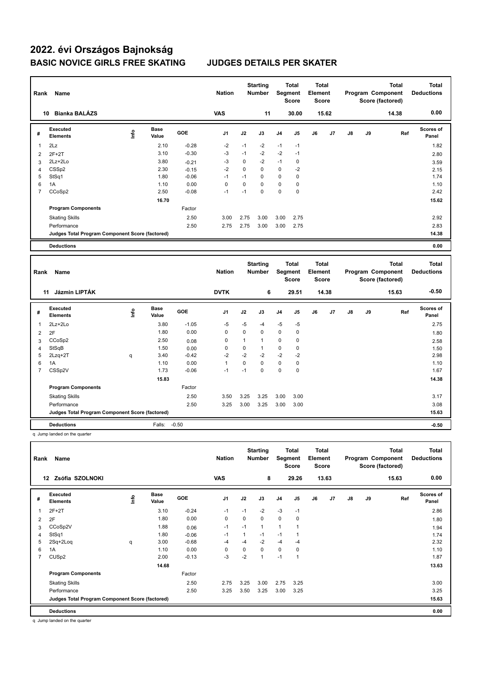| Rank           | <b>Name</b>                                     |      |                      |         | <b>Nation</b>  |             | <b>Starting</b><br><b>Number</b> | Segment        | <b>Total</b><br><b>Score</b> | Total<br>Element<br><b>Score</b>        |                |    |    | <b>Total</b><br>Program Component<br>Score (factored)        | Total<br><b>Deductions</b>        |
|----------------|-------------------------------------------------|------|----------------------|---------|----------------|-------------|----------------------------------|----------------|------------------------------|-----------------------------------------|----------------|----|----|--------------------------------------------------------------|-----------------------------------|
|                | <b>Bianka BALÁZS</b><br>10                      |      |                      |         | <b>VAS</b>     |             | 11                               |                | 30.00                        |                                         | 15.62          |    |    | 14.38                                                        | 0.00                              |
| #              | Executed<br><b>Elements</b>                     | lnfo | <b>Base</b><br>Value | GOE     | J <sub>1</sub> | J2          | J3                               | J <sub>4</sub> | J5                           | J6                                      | J <sub>7</sub> | J8 | J9 | Ref                                                          | <b>Scores of</b><br>Panel         |
|                | 2Lz                                             |      | 2.10                 | $-0.28$ | $-2$           | $-1$        | $-2$                             | $-1$           | $-1$                         |                                         |                |    |    |                                                              | 1.82                              |
| $\overline{2}$ | $2F+2T$                                         |      | 3.10                 | $-0.30$ | $-3$           | $-1$        | $-2$                             | $-2$           | $-1$                         |                                         |                |    |    |                                                              | 2.80                              |
| 3              | $2Lz + 2Lo$                                     |      | 3.80                 | $-0.21$ | $-3$           | $\Omega$    | $-2$                             | $-1$           | $\pmb{0}$                    |                                         |                |    |    |                                                              | 3.59                              |
| $\overline{4}$ | CSS <sub>p2</sub>                               |      | 2.30                 | $-0.15$ | $-2$           | $\Omega$    | $\Omega$                         | 0              | -2                           |                                         |                |    |    |                                                              | 2.15                              |
| 5              | StSq1                                           |      | 1.80                 | $-0.06$ | $-1$           | $-1$        | $\mathbf 0$                      | $\mathbf 0$    | 0                            |                                         |                |    |    |                                                              | 1.74                              |
| 6              | 1A                                              |      | 1.10                 | 0.00    | $\mathbf 0$    | $\mathbf 0$ | $\Omega$                         | $\mathbf 0$    | $\mathbf 0$                  |                                         |                |    |    |                                                              | 1.10                              |
| $\overline{7}$ | CCoSp2                                          |      | 2.50                 | $-0.08$ | $-1$           | $-1$        | $\Omega$                         | $\mathbf 0$    | $\mathbf 0$                  |                                         |                |    |    |                                                              | 2.42                              |
|                |                                                 |      | 16.70                |         |                |             |                                  |                |                              |                                         |                |    |    |                                                              | 15.62                             |
|                | <b>Program Components</b>                       |      |                      | Factor  |                |             |                                  |                |                              |                                         |                |    |    |                                                              |                                   |
|                | <b>Skating Skills</b>                           |      |                      | 2.50    | 3.00           | 2.75        | 3.00                             | 3.00           | 2.75                         |                                         |                |    |    |                                                              | 2.92                              |
|                | Performance                                     |      |                      | 2.50    | 2.75           | 2.75        | 3.00                             | 3.00           | 2.75                         |                                         |                |    |    |                                                              | 2.83                              |
|                | Judges Total Program Component Score (factored) |      |                      |         |                |             |                                  |                |                              |                                         |                |    |    |                                                              | 14.38                             |
|                | <b>Deductions</b>                               |      |                      |         |                |             |                                  |                |                              |                                         |                |    |    |                                                              | 0.00                              |
|                |                                                 |      |                      |         |                |             |                                  |                |                              |                                         |                |    |    |                                                              |                                   |
| Rank           | Name                                            |      |                      |         | <b>Nation</b>  |             | <b>Starting</b><br>Number        | Segment        | <b>Total</b><br><b>Score</b> | <b>Total</b><br>Element<br><b>Score</b> |                |    |    | <b>Total</b><br><b>Program Component</b><br>Score (factored) | <b>Total</b><br><b>Deductions</b> |
|                | Jázmin LIPTÁK<br>11                             |      |                      |         | <b>DVTK</b>    |             | 6                                |                | 29.51                        |                                         | 14.38          |    |    | 15.63                                                        | $-0.50$                           |

|   | -11-<br>Jazmin Lip I AN                         |   |               |         | <b>DVIN</b>    |              | O           |                | 29.5T          |    | 14.38 |    |    | 15.63 | -v.əv              |
|---|-------------------------------------------------|---|---------------|---------|----------------|--------------|-------------|----------------|----------------|----|-------|----|----|-------|--------------------|
| # | Executed<br><b>Elements</b>                     | ۴ | Base<br>Value | GOE     | J <sub>1</sub> | J2           | J3          | J <sub>4</sub> | J <sub>5</sub> | J6 | J7    | J8 | J9 | Ref   | Scores of<br>Panel |
|   | $2Lz+2Lo$                                       |   | 3.80          | $-1.05$ | $-5$           | $-5$         | $-4$        | $-5$           | $-5$           |    |       |    |    |       | 2.75               |
| 2 | 2F                                              |   | 1.80          | 0.00    | 0              | 0            | 0           | 0              | 0              |    |       |    |    |       | 1.80               |
| 3 | CCoSp2                                          |   | 2.50          | 0.08    | 0              | $\mathbf{1}$ | 1           | $\mathbf 0$    | 0              |    |       |    |    |       | 2.58               |
| 4 | StSqB                                           |   | 1.50          | 0.00    | $\Omega$       | 0            | 1           | 0              | 0              |    |       |    |    |       | 1.50               |
| 5 | $2Lzq+2T$                                       | q | 3.40          | $-0.42$ | $-2$           | $-2$         | $-2$        | $-2$           | $-2$           |    |       |    |    |       | 2.98               |
| 6 | 1A                                              |   | 1.10          | 0.00    |                | 0            | 0           | $\mathbf 0$    | 0              |    |       |    |    |       | 1.10               |
| 7 | CSSp2V                                          |   | 1.73          | $-0.06$ | $-1$           | $-1$         | $\mathbf 0$ | $\mathbf 0$    | 0              |    |       |    |    |       | 1.67               |
|   |                                                 |   | 15.83         |         |                |              |             |                |                |    |       |    |    |       | 14.38              |
|   | <b>Program Components</b>                       |   |               | Factor  |                |              |             |                |                |    |       |    |    |       |                    |
|   | <b>Skating Skills</b>                           |   |               | 2.50    | 3.50           | 3.25         | 3.25        | 3.00           | 3.00           |    |       |    |    |       | 3.17               |
|   | Performance                                     |   |               | 2.50    | 3.25           | 3.00         | 3.25        | 3.00           | 3.00           |    |       |    |    |       | 3.08               |
|   | Judges Total Program Component Score (factored) |   |               |         |                |              |             |                |                |    |       |    |    |       | 15.63              |
|   | <b>Deductions</b>                               |   | Falls:        | $-0.50$ |                |              |             |                |                |    |       |    |    |       | $-0.50$            |

q Jump landed on the quarter

| Rank | Name                                            |            |                      |            | <b>Nation</b>  |      | <b>Starting</b><br><b>Number</b> | Segment        | Total<br><b>Score</b> | <b>Total</b><br>Element<br><b>Score</b> |       |               |    | <b>Total</b><br>Program Component<br>Score (factored) | <b>Total</b><br><b>Deductions</b> |
|------|-------------------------------------------------|------------|----------------------|------------|----------------|------|----------------------------------|----------------|-----------------------|-----------------------------------------|-------|---------------|----|-------------------------------------------------------|-----------------------------------|
|      | Zsófia SZOLNOKI<br>12                           |            |                      |            | <b>VAS</b>     |      | 8                                |                | 29.26                 |                                         | 13.63 |               |    | 15.63                                                 | 0.00                              |
| #    | Executed<br><b>Elements</b>                     | <b>Lin</b> | <b>Base</b><br>Value | <b>GOE</b> | J <sub>1</sub> | J2   | J3                               | J <sub>4</sub> | J5                    | J6                                      | J7    | $\mathsf{J}8$ | J9 | Ref                                                   | <b>Scores of</b><br>Panel         |
| 1    | $2F+2T$                                         |            | 3.10                 | $-0.24$    | $-1$           | $-1$ | $-2$                             | $-3$           | $-1$                  |                                         |       |               |    |                                                       | 2.86                              |
| 2    | 2F                                              |            | 1.80                 | 0.00       | 0              | 0    | $\Omega$                         | $\mathbf 0$    | $\mathbf 0$           |                                         |       |               |    |                                                       | 1.80                              |
| 3    | CCoSp2V                                         |            | 1.88                 | 0.06       | $-1$           | $-1$ | 1                                | 1              |                       |                                         |       |               |    |                                                       | 1.94                              |
| 4    | StSq1                                           |            | 1.80                 | $-0.06$    | -1             |      | $-1$                             | $-1$           |                       |                                         |       |               |    |                                                       | 1.74                              |
| 5    | 2Sq+2Loq                                        | q          | 3.00                 | $-0.68$    | -4             | $-4$ | $-2$                             | $-4$           | $-4$                  |                                         |       |               |    |                                                       | 2.32                              |
| 6    | 1A                                              |            | 1.10                 | 0.00       | 0              | 0    | 0                                | 0              | 0                     |                                         |       |               |    |                                                       | 1.10                              |
| 7    | CUS <sub>p2</sub>                               |            | 2.00                 | $-0.13$    | -3             | $-2$ | $\mathbf{1}$                     | $-1$           | 1                     |                                         |       |               |    |                                                       | 1.87                              |
|      |                                                 |            | 14.68                |            |                |      |                                  |                |                       |                                         |       |               |    |                                                       | 13.63                             |
|      | <b>Program Components</b>                       |            |                      | Factor     |                |      |                                  |                |                       |                                         |       |               |    |                                                       |                                   |
|      | <b>Skating Skills</b>                           |            |                      | 2.50       | 2.75           | 3.25 | 3.00                             | 2.75           | 3.25                  |                                         |       |               |    |                                                       | 3.00                              |
|      | Performance                                     |            |                      | 2.50       | 3.25           | 3.50 | 3.25                             | 3.00           | 3.25                  |                                         |       |               |    |                                                       | 3.25                              |
|      | Judges Total Program Component Score (factored) |            |                      |            |                |      |                                  |                |                       |                                         |       |               |    |                                                       | 15.63                             |
|      | <b>Deductions</b>                               |            |                      |            |                |      |                                  |                |                       |                                         |       |               |    |                                                       | 0.00                              |

q Jump landed on the quarter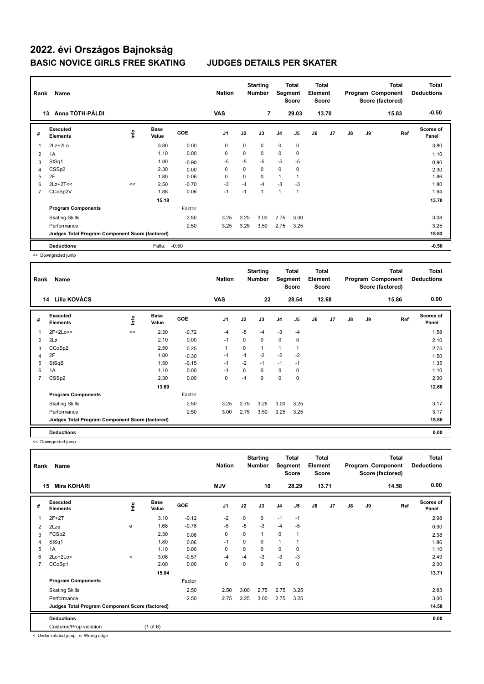| Rank                    | Name<br>Anna TÓTH-PÁLDI<br>13                   |      |                      |            | <b>Nation</b><br><b>VAS</b> |      | <b>Starting</b><br><b>Number</b><br>7 | Segment        | Total<br><b>Score</b><br>29.03 | <b>Total</b><br>Element<br><b>Score</b> | 13.70          |               |    | Total<br>Program Component<br>Score (factored)<br>15.83 | <b>Total</b><br><b>Deductions</b><br>$-0.50$ |
|-------------------------|-------------------------------------------------|------|----------------------|------------|-----------------------------|------|---------------------------------------|----------------|--------------------------------|-----------------------------------------|----------------|---------------|----|---------------------------------------------------------|----------------------------------------------|
| #                       | Executed<br><b>Elements</b>                     | ١nf٥ | <b>Base</b><br>Value | <b>GOE</b> | J <sub>1</sub>              | J2   | J3                                    | J <sub>4</sub> | J <sub>5</sub>                 | J6                                      | J <sub>7</sub> | $\mathsf{J}8$ | J9 | Ref                                                     | <b>Scores of</b><br>Panel                    |
| $\overline{\mathbf{1}}$ | 2Lz+2Lo                                         |      | 3.80                 | 0.00       | 0                           | 0    | 0                                     | $\mathbf 0$    | 0                              |                                         |                |               |    |                                                         | 3.80                                         |
| 2                       | 1A                                              |      | 1.10                 | 0.00       | 0                           | 0    | 0                                     | $\mathbf 0$    | 0                              |                                         |                |               |    |                                                         | 1.10                                         |
| 3                       | StSq1                                           |      | 1.80                 | $-0.90$    | $-5$                        | $-5$ | $-5$                                  | $-5$           | -5                             |                                         |                |               |    |                                                         | 0.90                                         |
| 4                       | CSS <sub>p2</sub>                               |      | 2.30                 | 0.00       | 0                           | 0    | 0                                     | $\mathbf 0$    | 0                              |                                         |                |               |    |                                                         | 2.30                                         |
| 5                       | 2F                                              |      | 1.80                 | 0.06       | $\mathbf 0$                 | 0    | 0                                     | $\overline{1}$ | 1                              |                                         |                |               |    |                                                         | 1.86                                         |
| 6                       | $2Lz+2T<<$                                      | <<   | 2.50                 | $-0.70$    | $-3$                        | $-4$ | $-4$                                  | $-3$           | $-3$                           |                                         |                |               |    |                                                         | 1.80                                         |
| $\overline{7}$          | CCoSp2V                                         |      | 1.88                 | 0.06       | $-1$                        | $-1$ | 1                                     | 1              | $\overline{1}$                 |                                         |                |               |    |                                                         | 1.94                                         |
|                         |                                                 |      | 15.18                |            |                             |      |                                       |                |                                |                                         |                |               |    |                                                         | 13.70                                        |
|                         | <b>Program Components</b>                       |      |                      | Factor     |                             |      |                                       |                |                                |                                         |                |               |    |                                                         |                                              |
|                         | <b>Skating Skills</b>                           |      |                      | 2.50       | 3.25                        | 3.25 | 3.00                                  | 2.75           | 3.00                           |                                         |                |               |    |                                                         | 3.08                                         |
|                         | Performance                                     |      |                      | 2.50       | 3.25                        | 3.25 | 3.50                                  | 2.75           | 3.25                           |                                         |                |               |    |                                                         | 3.25                                         |
|                         | Judges Total Program Component Score (factored) |      |                      |            |                             |      |                                       |                |                                |                                         |                |               |    |                                                         | 15.83                                        |
|                         | <b>Deductions</b>                               |      | Falls:               | $-0.50$    |                             |      |                                       |                |                                |                                         |                |               |    |                                                         | $-0.50$                                      |

<< Downgraded jump

| Rank | Name                                            |      |                      |            | <b>Nation</b>  |      | <b>Starting</b><br><b>Number</b> | Segment        | Total<br>Score | Total<br>Element<br><b>Score</b> |       |               |    | <b>Total</b><br>Program Component<br>Score (factored) | <b>Total</b><br><b>Deductions</b> |
|------|-------------------------------------------------|------|----------------------|------------|----------------|------|----------------------------------|----------------|----------------|----------------------------------|-------|---------------|----|-------------------------------------------------------|-----------------------------------|
|      | Lilla KOVÁCS<br>14                              |      |                      |            | <b>VAS</b>     |      | 22                               |                | 28.54          |                                  | 12.68 |               |    | 15.86                                                 | 0.00                              |
| #    | Executed<br><b>Elements</b>                     | ١nf٥ | <b>Base</b><br>Value | <b>GOE</b> | J <sub>1</sub> | J2   | J3                               | J <sub>4</sub> | J5             | J6                               | J7    | $\mathsf{J}8$ | J9 | Ref                                                   | <b>Scores of</b><br>Panel         |
| 1    | 2F+2Lo<<                                        | <<   | 2.30                 | $-0.72$    | $-4$           | $-5$ | $-4$                             | $-3$           | $-4$           |                                  |       |               |    |                                                       | 1.58                              |
| 2    | 2Lz                                             |      | 2.10                 | 0.00       | $-1$           | 0    | 0                                | $\mathbf 0$    | 0              |                                  |       |               |    |                                                       | 2.10                              |
| 3    | CCoSp2                                          |      | 2.50                 | 0.25       | 1              | 0    | 1                                | $\overline{1}$ |                |                                  |       |               |    |                                                       | 2.75                              |
| 4    | 2F                                              |      | 1.80                 | $-0.30$    | $-1$           | $-1$ | $-2$                             | $-2$           | $-2$           |                                  |       |               |    |                                                       | 1.50                              |
| 5    | StSqB                                           |      | 1.50                 | $-0.15$    | $-1$           | $-2$ | $-1$                             | $-1$           | $-1$           |                                  |       |               |    |                                                       | 1.35                              |
| 6    | 1A                                              |      | 1.10                 | 0.00       | $-1$           | 0    | 0                                | 0              | 0              |                                  |       |               |    |                                                       | 1.10                              |
|      | CSS <sub>p2</sub>                               |      | 2.30                 | 0.00       | 0              | $-1$ | 0                                | 0              | $\mathbf 0$    |                                  |       |               |    |                                                       | 2.30                              |
|      |                                                 |      | 13.60                |            |                |      |                                  |                |                |                                  |       |               |    |                                                       | 12.68                             |
|      | <b>Program Components</b>                       |      |                      | Factor     |                |      |                                  |                |                |                                  |       |               |    |                                                       |                                   |
|      | <b>Skating Skills</b>                           |      |                      | 2.50       | 3.25           | 2.75 | 3.25                             | 3.00           | 3.25           |                                  |       |               |    |                                                       | 3.17                              |
|      | Performance                                     |      |                      | 2.50       | 3.00           | 2.75 | 3.50                             | 3.25           | 3.25           |                                  |       |               |    |                                                       | 3.17                              |
|      | Judges Total Program Component Score (factored) |      |                      |            |                |      |                                  |                |                |                                  |       |               |    |                                                       | 15.86                             |
|      | <b>Deductions</b>                               |      |                      |            |                |      |                                  |                |                |                                  |       |               |    |                                                       | 0.00                              |

<< Downgraded jump

| Rank | Name                                            |         |                      |         | <b>Nation</b>  |      | <b>Starting</b><br><b>Number</b> | Segment        | Total<br><b>Score</b> | Total<br>Element<br><b>Score</b> |       |               |    | <b>Total</b><br>Program Component<br>Score (factored) | <b>Total</b><br><b>Deductions</b> |
|------|-------------------------------------------------|---------|----------------------|---------|----------------|------|----------------------------------|----------------|-----------------------|----------------------------------|-------|---------------|----|-------------------------------------------------------|-----------------------------------|
|      | Mira KOHÁRI<br>15                               |         |                      |         | <b>MJV</b>     |      | 10                               |                | 28.29                 |                                  | 13.71 |               |    | 14.58                                                 | 0.00                              |
| #    | Executed<br><b>Elements</b>                     | ١nto    | <b>Base</b><br>Value | GOE     | J <sub>1</sub> | J2   | J3                               | J <sub>4</sub> | J5                    | J6                               | J7    | $\mathsf{J}8$ | J9 | Ref                                                   | Scores of<br>Panel                |
| 1    | $2F+2T$                                         |         | 3.10                 | $-0.12$ | $-2$           | 0    | 0                                | $-1$           | $-1$                  |                                  |       |               |    |                                                       | 2.98                              |
| 2    | 2Lze                                            | e       | 1.68                 | $-0.78$ | -5             | $-5$ | $-3$                             | $-4$           | $-5$                  |                                  |       |               |    |                                                       | 0.90                              |
| 3    | FCSp2                                           |         | 2.30                 | 0.08    | 0              | 0    | 1                                | $\mathbf 0$    | 1                     |                                  |       |               |    |                                                       | 2.38                              |
| 4    | StSq1                                           |         | 1.80                 | 0.06    | -1             | 0    | 0                                | $\mathbf{1}$   | 1                     |                                  |       |               |    |                                                       | 1.86                              |
| 5    | 1A                                              |         | 1.10                 | 0.00    | 0              | 0    | 0                                | $\mathbf 0$    | 0                     |                                  |       |               |    |                                                       | 1.10                              |
| 6    | $2Lo+2Lo<$                                      | $\,<\,$ | 3.06                 | $-0.57$ | -4             | -4   | $-3$                             | $-3$           | -3                    |                                  |       |               |    |                                                       | 2.49                              |
| 7    | CCoSp1                                          |         | 2.00                 | 0.00    | 0              | 0    | 0                                | $\mathbf 0$    | 0                     |                                  |       |               |    |                                                       | 2.00                              |
|      |                                                 |         | 15.04                |         |                |      |                                  |                |                       |                                  |       |               |    |                                                       | 13.71                             |
|      | <b>Program Components</b>                       |         |                      | Factor  |                |      |                                  |                |                       |                                  |       |               |    |                                                       |                                   |
|      | <b>Skating Skills</b>                           |         |                      | 2.50    | 2.50           | 3.00 | 2.75                             | 2.75           | 3.25                  |                                  |       |               |    |                                                       | 2.83                              |
|      | Performance                                     |         |                      | 2.50    | 2.75           | 3.25 | 3.00                             | 2.75           | 3.25                  |                                  |       |               |    |                                                       | 3.00                              |
|      | Judges Total Program Component Score (factored) |         |                      |         |                |      |                                  |                |                       |                                  |       |               |    |                                                       | 14.58                             |
|      | <b>Deductions</b>                               |         |                      |         |                |      |                                  |                |                       |                                  |       |               |    |                                                       | 0.00                              |
|      | Costume/Prop violation:                         |         | $(1 \text{ of } 6)$  |         |                |      |                                  |                |                       |                                  |       |               |    |                                                       |                                   |

< Under-rotated jump e Wrong edge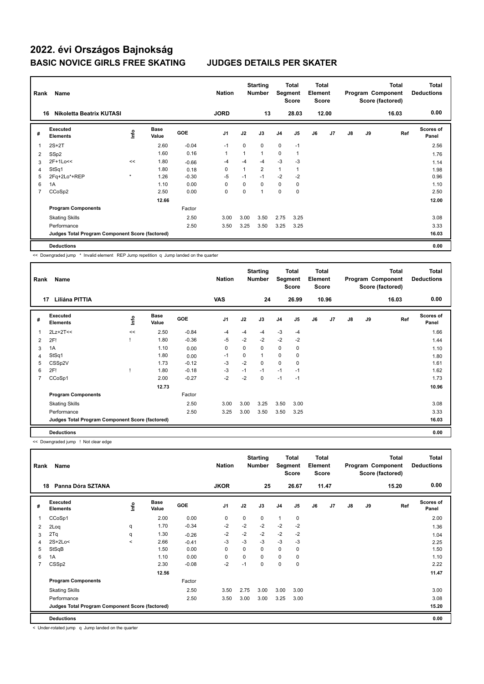| Rank | Name                                            |         |                      |            | <b>Nation</b>  |                | <b>Starting</b><br><b>Number</b> | Segment        | Total<br><b>Score</b> | <b>Total</b><br>Element<br><b>Score</b> |       |               |    | <b>Total</b><br>Program Component<br>Score (factored) | <b>Total</b><br><b>Deductions</b> |
|------|-------------------------------------------------|---------|----------------------|------------|----------------|----------------|----------------------------------|----------------|-----------------------|-----------------------------------------|-------|---------------|----|-------------------------------------------------------|-----------------------------------|
|      | Nikoletta Beatrix KUTASI<br>16                  |         |                      |            | <b>JORD</b>    |                | 13                               |                | 28.03                 |                                         | 12.00 |               |    | 16.03                                                 | 0.00                              |
| #    | Executed<br><b>Elements</b>                     | ۴ů      | <b>Base</b><br>Value | <b>GOE</b> | J <sub>1</sub> | J2             | J3                               | J <sub>4</sub> | J5                    | J6                                      | J7    | $\mathsf{J}8$ | J9 | Ref                                                   | <b>Scores of</b><br>Panel         |
| 1    | $2S+2T$                                         |         | 2.60                 | $-0.04$    | $-1$           | $\Omega$       | $\Omega$                         | $\mathbf 0$    | $-1$                  |                                         |       |               |    |                                                       | 2.56                              |
| 2    | SSp2                                            |         | 1.60                 | 0.16       | $\overline{1}$ | $\overline{1}$ | 1                                | 0              |                       |                                         |       |               |    |                                                       | 1.76                              |
| 3    | 2F+1Lo<<                                        | <<      | 1.80                 | $-0.66$    | $-4$           | $-4$           | $-4$                             | $-3$           | -3                    |                                         |       |               |    |                                                       | 1.14                              |
| 4    | StSq1                                           |         | 1.80                 | 0.18       | 0              | $\mathbf{1}$   | $\overline{2}$                   | $\mathbf{1}$   |                       |                                         |       |               |    |                                                       | 1.98                              |
| 5    | 2Fq+2Lo*+REP                                    | $\star$ | 1.26                 | $-0.30$    | $-5$           | $-1$           | $-1$                             | $-2$           | $-2$                  |                                         |       |               |    |                                                       | 0.96                              |
| 6    | 1A                                              |         | 1.10                 | 0.00       | $\Omega$       | $\Omega$       | $\Omega$                         | 0              | 0                     |                                         |       |               |    |                                                       | 1.10                              |
| 7    | CCoSp2                                          |         | 2.50                 | 0.00       | 0              | 0              | $\overline{A}$                   | 0              | 0                     |                                         |       |               |    |                                                       | 2.50                              |
|      |                                                 |         | 12.66                |            |                |                |                                  |                |                       |                                         |       |               |    |                                                       | 12.00                             |
|      | <b>Program Components</b>                       |         |                      | Factor     |                |                |                                  |                |                       |                                         |       |               |    |                                                       |                                   |
|      | <b>Skating Skills</b>                           |         |                      | 2.50       | 3.00           | 3.00           | 3.50                             | 2.75           | 3.25                  |                                         |       |               |    |                                                       | 3.08                              |
|      | Performance                                     |         |                      | 2.50       | 3.50           | 3.25           | 3.50                             | 3.25           | 3.25                  |                                         |       |               |    |                                                       | 3.33                              |
|      | Judges Total Program Component Score (factored) |         |                      |            |                |                |                                  |                |                       |                                         |       |               |    |                                                       | 16.03                             |
|      | <b>Deductions</b>                               |         |                      |            |                |                |                                  |                |                       |                                         |       |               |    |                                                       | 0.00                              |

<< Downgraded jump \* Invalid element REP Jump repetition q Jump landed on the quarter

| Rank | Name                                            |      |                      |            | <b>Nation</b>  |      | <b>Starting</b><br>Number | Segment        | <b>Total</b><br><b>Score</b> | Total<br>Element<br><b>Score</b> |                |    |    | <b>Total</b><br>Program Component<br>Score (factored) | Total<br><b>Deductions</b> |
|------|-------------------------------------------------|------|----------------------|------------|----------------|------|---------------------------|----------------|------------------------------|----------------------------------|----------------|----|----|-------------------------------------------------------|----------------------------|
|      | Liliána PITTIA<br>17                            |      |                      |            | <b>VAS</b>     |      | 24                        |                | 26.99                        |                                  | 10.96          |    |    | 16.03                                                 | 0.00                       |
| #    | Executed<br><b>Elements</b>                     | ١nfo | <b>Base</b><br>Value | <b>GOE</b> | J <sub>1</sub> | J2   | J3                        | J <sub>4</sub> | J <sub>5</sub>               | J6                               | J <sub>7</sub> | J8 | J9 | Ref                                                   | Scores of<br>Panel         |
| 1    | $2Lz+2T<<$                                      | <<   | 2.50                 | $-0.84$    | -4             | $-4$ | $-4$                      | $-3$           | $-4$                         |                                  |                |    |    |                                                       | 1.66                       |
| 2    | 2F!                                             |      | 1.80                 | $-0.36$    | $-5$           | $-2$ | $-2$                      | $-2$           | $-2$                         |                                  |                |    |    |                                                       | 1.44                       |
| 3    | 1A                                              |      | 1.10                 | 0.00       | 0              | 0    | 0                         | 0              | 0                            |                                  |                |    |    |                                                       | 1.10                       |
| 4    | StSq1                                           |      | 1.80                 | 0.00       | $-1$           | 0    | $\mathbf{1}$              | 0              | 0                            |                                  |                |    |    |                                                       | 1.80                       |
| 5    | CSSp2V                                          |      | 1.73                 | $-0.12$    | $-3$           | $-2$ | 0                         | $\mathbf 0$    | 0                            |                                  |                |    |    |                                                       | 1.61                       |
| 6    | 2F!                                             |      | 1.80                 | $-0.18$    | $-3$           | $-1$ | $-1$                      | $-1$           | $-1$                         |                                  |                |    |    |                                                       | 1.62                       |
| 7    | CCoSp1                                          |      | 2.00                 | $-0.27$    | $-2$           | $-2$ | 0                         | $-1$           | $-1$                         |                                  |                |    |    |                                                       | 1.73                       |
|      |                                                 |      | 12.73                |            |                |      |                           |                |                              |                                  |                |    |    |                                                       | 10.96                      |
|      | <b>Program Components</b>                       |      |                      | Factor     |                |      |                           |                |                              |                                  |                |    |    |                                                       |                            |
|      | <b>Skating Skills</b>                           |      |                      | 2.50       | 3.00           | 3.00 | 3.25                      | 3.50           | 3.00                         |                                  |                |    |    |                                                       | 3.08                       |
|      | Performance                                     |      |                      | 2.50       | 3.25           | 3.00 | 3.50                      | 3.50           | 3.25                         |                                  |                |    |    |                                                       | 3.33                       |
|      | Judges Total Program Component Score (factored) |      |                      |            |                |      |                           |                |                              |                                  |                |    |    |                                                       | 16.03                      |
|      | <b>Deductions</b>                               |      |                      |            |                |      |                           |                |                              |                                  |                |    |    |                                                       | 0.00                       |

<< Downgraded jump ! Not clear edge

| Rank           | Name                                            |         |                      |            | <b>Nation</b>  |      | <b>Starting</b><br><b>Number</b> | Segment      | <b>Total</b><br><b>Score</b> | Total<br>Element<br><b>Score</b> |       |    |    | Total<br>Program Component<br>Score (factored) | <b>Total</b><br><b>Deductions</b> |
|----------------|-------------------------------------------------|---------|----------------------|------------|----------------|------|----------------------------------|--------------|------------------------------|----------------------------------|-------|----|----|------------------------------------------------|-----------------------------------|
| 18             | Panna Dóra SZTANA                               |         |                      |            | <b>JKOR</b>    |      | 25                               |              | 26.67                        |                                  | 11.47 |    |    | 15.20                                          | 0.00                              |
| #              | Executed<br><b>Elements</b>                     | ۴       | <b>Base</b><br>Value | <b>GOE</b> | J <sub>1</sub> | J2   | J3                               | J4           | J <sub>5</sub>               | J6                               | J7    | J8 | J9 | Ref                                            | <b>Scores of</b><br>Panel         |
| 1              | CCoSp1                                          |         | 2.00                 | 0.00       | 0              | 0    | 0                                | $\mathbf{1}$ | 0                            |                                  |       |    |    |                                                | 2.00                              |
| 2              | 2Loq                                            | q       | 1.70                 | $-0.34$    | $-2$           | $-2$ | $-2$                             | $-2$         | $-2$                         |                                  |       |    |    |                                                | 1.36                              |
| 3              | 2Tq                                             | q       | 1.30                 | $-0.26$    | $-2$           | $-2$ | $-2$                             | $-2$         | $-2$                         |                                  |       |    |    |                                                | 1.04                              |
| 4              | 2S+2Lo<                                         | $\prec$ | 2.66                 | $-0.41$    | $-3$           | $-3$ | $-3$                             | $-3$         | $-3$                         |                                  |       |    |    |                                                | 2.25                              |
| 5              | StSqB                                           |         | 1.50                 | 0.00       | $\mathbf 0$    | 0    | 0                                | $\mathbf 0$  | $\mathbf 0$                  |                                  |       |    |    |                                                | 1.50                              |
| 6              | 1A                                              |         | 1.10                 | 0.00       | 0              | 0    | 0                                | 0            | 0                            |                                  |       |    |    |                                                | 1.10                              |
| $\overline{7}$ | CSS <sub>p2</sub>                               |         | 2.30                 | $-0.08$    | $-2$           | $-1$ | 0                                | 0            | $\mathbf 0$                  |                                  |       |    |    |                                                | 2.22                              |
|                |                                                 |         | 12.56                |            |                |      |                                  |              |                              |                                  |       |    |    |                                                | 11.47                             |
|                | <b>Program Components</b>                       |         |                      | Factor     |                |      |                                  |              |                              |                                  |       |    |    |                                                |                                   |
|                | <b>Skating Skills</b>                           |         |                      | 2.50       | 3.50           | 2.75 | 3.00                             | 3.00         | 3.00                         |                                  |       |    |    |                                                | 3.00                              |
|                | Performance                                     |         |                      | 2.50       | 3.50           | 3.00 | 3.00                             | 3.25         | 3.00                         |                                  |       |    |    |                                                | 3.08                              |
|                | Judges Total Program Component Score (factored) |         |                      |            |                |      |                                  |              |                              |                                  |       |    |    |                                                | 15.20                             |
|                | <b>Deductions</b>                               |         |                      |            |                |      |                                  |              |                              |                                  |       |    |    |                                                | 0.00                              |

< Under-rotated jump q Jump landed on the quarter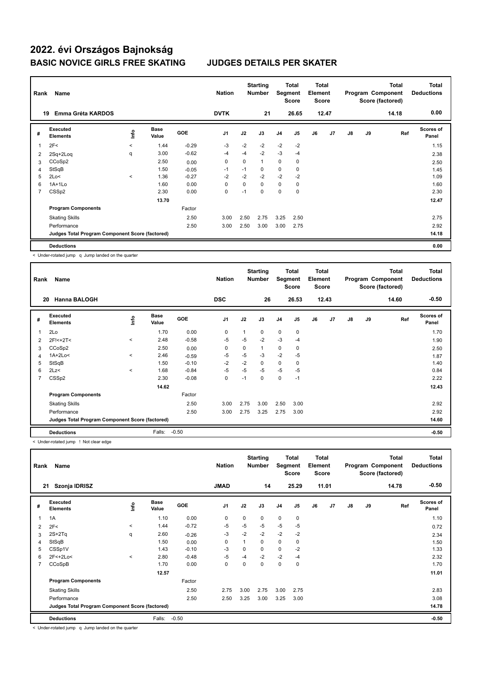| Rank | Name                                            |              |                      |            | <b>Nation</b>  |          | <b>Starting</b><br><b>Number</b> | Segment        | Total<br><b>Score</b> | <b>Total</b><br>Element<br><b>Score</b> |       |               |    | <b>Total</b><br>Program Component<br>Score (factored) | <b>Total</b><br><b>Deductions</b> |
|------|-------------------------------------------------|--------------|----------------------|------------|----------------|----------|----------------------------------|----------------|-----------------------|-----------------------------------------|-------|---------------|----|-------------------------------------------------------|-----------------------------------|
| 19   | Emma Gréta KARDOS                               |              |                      |            | <b>DVTK</b>    |          | 21                               |                | 26.65                 |                                         | 12.47 |               |    | 14.18                                                 | 0.00                              |
| #    | Executed<br><b>Elements</b>                     | lnfo         | <b>Base</b><br>Value | <b>GOE</b> | J <sub>1</sub> | J2       | J3                               | J <sub>4</sub> | J5                    | J6                                      | J7    | $\mathsf{J}8$ | J9 | Ref                                                   | <b>Scores of</b><br>Panel         |
| 1    | 2F<                                             | $\prec$      | 1.44                 | $-0.29$    | $-3$           | $-2$     | $-2$                             | $-2$           | $-2$                  |                                         |       |               |    |                                                       | 1.15                              |
| 2    | 2Sq+2Loq                                        | q            | 3.00                 | $-0.62$    | $-4$           | -4       | $-2$                             | $-3$           | $-4$                  |                                         |       |               |    |                                                       | 2.38                              |
| 3    | CCoSp2                                          |              | 2.50                 | 0.00       | 0              | 0        | $\mathbf{1}$                     | 0              | 0                     |                                         |       |               |    |                                                       | 2.50                              |
| 4    | StSqB                                           |              | 1.50                 | $-0.05$    | $-1$           | $-1$     | 0                                | 0              | 0                     |                                         |       |               |    |                                                       | 1.45                              |
| 5    | 2Lo<                                            | $\checkmark$ | 1.36                 | $-0.27$    | $-2$           | $-2$     | $-2$                             | $-2$           | $-2$                  |                                         |       |               |    |                                                       | 1.09                              |
| 6    | $1A+1Lo$                                        |              | 1.60                 | 0.00       | $\Omega$       | $\Omega$ | $\Omega$                         | 0              | 0                     |                                         |       |               |    |                                                       | 1.60                              |
| 7    | CSS <sub>p2</sub>                               |              | 2.30                 | 0.00       | 0              | $-1$     | $\Omega$                         | $\mathbf 0$    | 0                     |                                         |       |               |    |                                                       | 2.30                              |
|      |                                                 |              | 13.70                |            |                |          |                                  |                |                       |                                         |       |               |    |                                                       | 12.47                             |
|      | <b>Program Components</b>                       |              |                      | Factor     |                |          |                                  |                |                       |                                         |       |               |    |                                                       |                                   |
|      | <b>Skating Skills</b>                           |              |                      | 2.50       | 3.00           | 2.50     | 2.75                             | 3.25           | 2.50                  |                                         |       |               |    |                                                       | 2.75                              |
|      | Performance                                     |              |                      | 2.50       | 3.00           | 2.50     | 3.00                             | 3.00           | 2.75                  |                                         |       |               |    |                                                       | 2.92                              |
|      | Judges Total Program Component Score (factored) |              |                      |            |                |          |                                  |                |                       |                                         |       |               |    |                                                       | 14.18                             |
|      | <b>Deductions</b>                               |              |                      |            |                |          |                                  |                |                       |                                         |       |               |    |                                                       | 0.00                              |

< Under-rotated jump q Jump landed on the quarter

| Rank | Name                                            |         |                      |            | <b>Nation</b>  |      | <b>Starting</b><br><b>Number</b> | Segment        | <b>Total</b><br><b>Score</b> | <b>Total</b><br>Element<br><b>Score</b> |                |               |    | <b>Total</b><br>Program Component<br>Score (factored) | <b>Total</b><br><b>Deductions</b> |
|------|-------------------------------------------------|---------|----------------------|------------|----------------|------|----------------------------------|----------------|------------------------------|-----------------------------------------|----------------|---------------|----|-------------------------------------------------------|-----------------------------------|
|      | <b>Hanna BALOGH</b><br>20                       |         |                      |            | <b>DSC</b>     |      | 26                               |                | 26.53                        |                                         | 12.43          |               |    | 14.60                                                 | $-0.50$                           |
| #    | <b>Executed</b><br><b>Elements</b>              | ١nfo    | <b>Base</b><br>Value | <b>GOE</b> | J <sub>1</sub> | J2   | J3                               | J <sub>4</sub> | J5                           | J6                                      | J <sub>7</sub> | $\mathsf{J}8$ | J9 | Ref                                                   | <b>Scores of</b><br>Panel         |
| 1    | 2Lo                                             |         | 1.70                 | 0.00       | 0              | 1    | 0                                | $\mathbf 0$    | 0                            |                                         |                |               |    |                                                       | 1.70                              |
| 2    | $2F$ $\leq$ +2T $\leq$                          | $\,<$   | 2.48                 | $-0.58$    | $-5$           | $-5$ | $-2$                             | $-3$           | $-4$                         |                                         |                |               |    |                                                       | 1.90                              |
| 3    | CCoSp2                                          |         | 2.50                 | 0.00       | 0              | 0    | 1                                | $\pmb{0}$      | 0                            |                                         |                |               |    |                                                       | 2.50                              |
| 4    | $1A+2Lo<$                                       | $\prec$ | 2.46                 | $-0.59$    | $-5$           | $-5$ | $-3$                             | $-2$           | $-5$                         |                                         |                |               |    |                                                       | 1.87                              |
| 5    | StSqB                                           |         | 1.50                 | $-0.10$    | $-2$           | $-2$ | 0                                | $\mathbf 0$    | $\mathbf 0$                  |                                         |                |               |    |                                                       | 1.40                              |
| 6    | 2Lz<                                            | $\,<$   | 1.68                 | $-0.84$    | $-5$           | $-5$ | $-5$                             | $-5$           | $-5$                         |                                         |                |               |    |                                                       | 0.84                              |
| 7    | CSS <sub>p2</sub>                               |         | 2.30                 | $-0.08$    | 0              | $-1$ | 0                                | 0              | $-1$                         |                                         |                |               |    |                                                       | 2.22                              |
|      |                                                 |         | 14.62                |            |                |      |                                  |                |                              |                                         |                |               |    |                                                       | 12.43                             |
|      | <b>Program Components</b>                       |         |                      | Factor     |                |      |                                  |                |                              |                                         |                |               |    |                                                       |                                   |
|      | <b>Skating Skills</b>                           |         |                      | 2.50       | 3.00           | 2.75 | 3.00                             | 2.50           | 3.00                         |                                         |                |               |    |                                                       | 2.92                              |
|      | Performance                                     |         |                      | 2.50       | 3.00           | 2.75 | 3.25                             | 2.75           | 3.00                         |                                         |                |               |    |                                                       | 2.92                              |
|      | Judges Total Program Component Score (factored) |         |                      |            |                |      |                                  |                |                              |                                         |                |               |    |                                                       | 14.60                             |
|      | <b>Deductions</b>                               |         | Falls:               | $-0.50$    |                |      |                                  |                |                              |                                         |                |               |    |                                                       | $-0.50$                           |

< Under-rotated jump ! Not clear edge

| Rank                    | Name                                            |         |                      |            | <b>Nation</b>  |          | <b>Starting</b><br>Number | Segment        | <b>Total</b><br>Score | Total<br>Element<br><b>Score</b> |       |               |    | <b>Total</b><br>Program Component<br>Score (factored) | <b>Total</b><br><b>Deductions</b> |
|-------------------------|-------------------------------------------------|---------|----------------------|------------|----------------|----------|---------------------------|----------------|-----------------------|----------------------------------|-------|---------------|----|-------------------------------------------------------|-----------------------------------|
| 21                      | Szonja IDRISZ                                   |         |                      |            | <b>JMAD</b>    |          | 14                        |                | 25.29                 |                                  | 11.01 |               |    | 14.78                                                 | $-0.50$                           |
| #                       | <b>Executed</b><br><b>Elements</b>              | lnfo    | <b>Base</b><br>Value | <b>GOE</b> | J <sub>1</sub> | J2       | J3                        | J <sub>4</sub> | J5                    | J6                               | J7    | $\mathsf{J}8$ | J9 | Ref                                                   | <b>Scores of</b><br>Panel         |
| $\overline{\mathbf{1}}$ | 1A                                              |         | 1.10                 | 0.00       | 0              | $\Omega$ | $\Omega$                  | $\mathbf 0$    | 0                     |                                  |       |               |    |                                                       | 1.10                              |
| 2                       | 2F<                                             | $\,<$   | 1.44                 | $-0.72$    | -5             | $-5$     | $-5$                      | $-5$           | $-5$                  |                                  |       |               |    |                                                       | 0.72                              |
| 3                       | $2S+2Tq$                                        | q       | 2.60                 | $-0.26$    | -3             | $-2$     | $-2$                      | $-2$           | $-2$                  |                                  |       |               |    |                                                       | 2.34                              |
| 4                       | StSqB                                           |         | 1.50                 | 0.00       | $\Omega$       |          | $\Omega$                  | $\mathbf 0$    | $\mathbf 0$           |                                  |       |               |    |                                                       | 1.50                              |
| 5                       | CSSp1V                                          |         | 1.43                 | $-0.10$    | $-3$           | $\Omega$ | 0                         | $\mathbf 0$    | $-2$                  |                                  |       |               |    |                                                       | 1.33                              |
| 6                       | 2F<+2Lo<                                        | $\prec$ | 2.80                 | $-0.48$    | $-5$           | -4       | $-2$                      | $-2$           | $-4$                  |                                  |       |               |    |                                                       | 2.32                              |
| $\overline{7}$          | CCoSpB                                          |         | 1.70                 | 0.00       | 0              | $\Omega$ | $\Omega$                  | 0              | $\mathbf 0$           |                                  |       |               |    |                                                       | 1.70                              |
|                         |                                                 |         | 12.57                |            |                |          |                           |                |                       |                                  |       |               |    |                                                       | 11.01                             |
|                         | <b>Program Components</b>                       |         |                      | Factor     |                |          |                           |                |                       |                                  |       |               |    |                                                       |                                   |
|                         | <b>Skating Skills</b>                           |         |                      | 2.50       | 2.75           | 3.00     | 2.75                      | 3.00           | 2.75                  |                                  |       |               |    |                                                       | 2.83                              |
|                         | Performance                                     |         |                      | 2.50       | 2.50           | 3.25     | 3.00                      | 3.25           | 3.00                  |                                  |       |               |    |                                                       | 3.08                              |
|                         | Judges Total Program Component Score (factored) |         |                      |            |                |          |                           |                |                       |                                  |       |               |    |                                                       | 14.78                             |
|                         | <b>Deductions</b>                               |         | Falls:               | $-0.50$    |                |          |                           |                |                       |                                  |       |               |    |                                                       | $-0.50$                           |

< Under-rotated jump q Jump landed on the quarter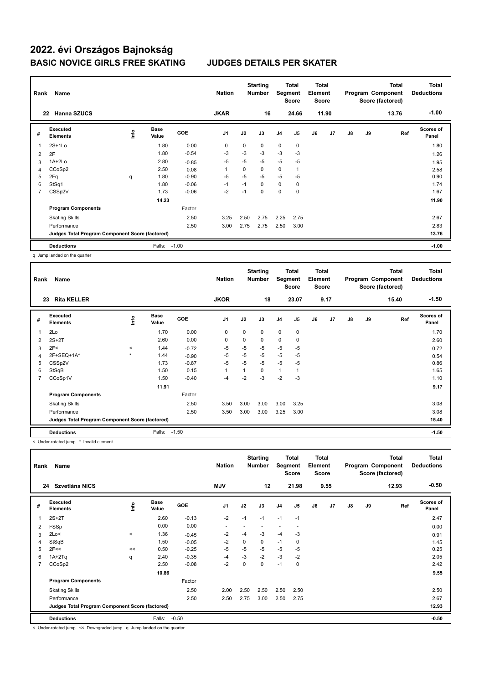| Rank | Name                                            |      |                      |            | <b>Nation</b>  |          | <b>Starting</b><br><b>Number</b> |                | Total<br>Segment<br>Score | <b>Total</b><br>Element<br><b>Score</b> |       |               |    | <b>Total</b><br>Program Component<br>Score (factored) | <b>Total</b><br><b>Deductions</b> |
|------|-------------------------------------------------|------|----------------------|------------|----------------|----------|----------------------------------|----------------|---------------------------|-----------------------------------------|-------|---------------|----|-------------------------------------------------------|-----------------------------------|
|      | <b>Hanna SZUCS</b><br>22                        |      |                      |            | <b>JKAR</b>    |          | 16                               |                | 24.66                     |                                         | 11.90 |               |    | 13.76                                                 | $-1.00$                           |
| #    | Executed<br><b>Elements</b>                     | ١nf٥ | <b>Base</b><br>Value | <b>GOE</b> | J <sub>1</sub> | J2       | J3                               | J <sub>4</sub> | J <sub>5</sub>            | J6                                      | J7    | $\mathsf{J}8$ | J9 | Ref                                                   | <b>Scores of</b><br>Panel         |
| 1    | $2S+1Lo$                                        |      | 1.80                 | 0.00       | 0              | 0        | 0                                | $\mathbf 0$    | $\mathbf 0$               |                                         |       |               |    |                                                       | 1.80                              |
| 2    | 2F                                              |      | 1.80                 | $-0.54$    | $-3$           | $-3$     | $-3$                             | $-3$           | $-3$                      |                                         |       |               |    |                                                       | 1.26                              |
| 3    | $1A+2Lo$                                        |      | 2.80                 | $-0.85$    | $-5$           | $-5$     | $-5$                             | $-5$           | -5                        |                                         |       |               |    |                                                       | 1.95                              |
| 4    | CCoSp2                                          |      | 2.50                 | 0.08       | 1              | $\Omega$ | 0                                | $\mathbf 0$    |                           |                                         |       |               |    |                                                       | 2.58                              |
| 5    | 2Fq                                             | q    | 1.80                 | $-0.90$    | $-5$           | $-5$     | $-5$                             | $-5$           | $-5$                      |                                         |       |               |    |                                                       | 0.90                              |
| 6    | StSq1                                           |      | 1.80                 | $-0.06$    | $-1$           | $-1$     | $\Omega$                         | 0              | 0                         |                                         |       |               |    |                                                       | 1.74                              |
| 7    | CSSp2V                                          |      | 1.73                 | $-0.06$    | $-2$           | $-1$     | $\Omega$                         | $\mathbf 0$    | 0                         |                                         |       |               |    |                                                       | 1.67                              |
|      |                                                 |      | 14.23                |            |                |          |                                  |                |                           |                                         |       |               |    |                                                       | 11.90                             |
|      | <b>Program Components</b>                       |      |                      | Factor     |                |          |                                  |                |                           |                                         |       |               |    |                                                       |                                   |
|      | <b>Skating Skills</b>                           |      |                      | 2.50       | 3.25           | 2.50     | 2.75                             | 2.25           | 2.75                      |                                         |       |               |    |                                                       | 2.67                              |
|      | Performance                                     |      |                      | 2.50       | 3.00           | 2.75     | 2.75                             | 2.50           | 3.00                      |                                         |       |               |    |                                                       | 2.83                              |
|      | Judges Total Program Component Score (factored) |      |                      |            |                |          |                                  |                |                           |                                         |       |               |    |                                                       | 13.76                             |
|      | <b>Deductions</b>                               |      | Falls:               | $-1.00$    |                |          |                                  |                |                           |                                         |       |               |    |                                                       | $-1.00$                           |

q Jump landed on the quarter

| Rank           | Name                                            |         |               |            | <b>Nation</b>  |                         | <b>Starting</b><br><b>Number</b> | Segment        | <b>Total</b><br><b>Score</b> | <b>Total</b><br>Element<br><b>Score</b> |                |    |    | <b>Total</b><br>Program Component<br>Score (factored) | <b>Total</b><br><b>Deductions</b> |
|----------------|-------------------------------------------------|---------|---------------|------------|----------------|-------------------------|----------------------------------|----------------|------------------------------|-----------------------------------------|----------------|----|----|-------------------------------------------------------|-----------------------------------|
|                | <b>Rita KELLER</b><br>23                        |         |               |            | <b>JKOR</b>    |                         | 18                               |                | 23.07                        |                                         | 9.17           |    |    | 15.40                                                 | $-1.50$                           |
| #              | Executed<br><b>Elements</b>                     | ۴       | Base<br>Value | <b>GOE</b> | J <sub>1</sub> | J2                      | J3                               | J <sub>4</sub> | J <sub>5</sub>               | J6                                      | J <sub>7</sub> | J8 | J9 | Ref                                                   | <b>Scores of</b><br>Panel         |
| 1              | 2Lo                                             |         | 1.70          | 0.00       | 0              | 0                       | 0                                | $\mathbf 0$    | 0                            |                                         |                |    |    |                                                       | 1.70                              |
| $\overline{2}$ | $2S+2T$                                         |         | 2.60          | 0.00       | 0              | 0                       | 0                                | 0              | 0                            |                                         |                |    |    |                                                       | 2.60                              |
| 3              | 2F<                                             | $\,<$   | 1.44          | $-0.72$    | $-5$           | $-5$                    | $-5$                             | $-5$           | $-5$                         |                                         |                |    |    |                                                       | 0.72                              |
| 4              | 2F+SEQ+1A*                                      | $\star$ | 1.44          | $-0.90$    | $-5$           | $-5$                    | $-5$                             | $-5$           | $-5$                         |                                         |                |    |    |                                                       | 0.54                              |
| 5              | CSSp2V                                          |         | 1.73          | $-0.87$    | $-5$           | $-5$                    | $-5$                             | $-5$           | -5                           |                                         |                |    |    |                                                       | 0.86                              |
| 6              | StSqB                                           |         | 1.50          | 0.15       | $\overline{ }$ | $\overline{\mathbf{A}}$ | 0                                | $\mathbf{1}$   |                              |                                         |                |    |    |                                                       | 1.65                              |
| 7              | CCoSp1V                                         |         | 1.50          | $-0.40$    | -4             | $-2$                    | $-3$                             | $-2$           | $-3$                         |                                         |                |    |    |                                                       | 1.10                              |
|                |                                                 |         | 11.91         |            |                |                         |                                  |                |                              |                                         |                |    |    |                                                       | 9.17                              |
|                | <b>Program Components</b>                       |         |               | Factor     |                |                         |                                  |                |                              |                                         |                |    |    |                                                       |                                   |
|                | <b>Skating Skills</b>                           |         |               | 2.50       | 3.50           | 3.00                    | 3.00                             | 3.00           | 3.25                         |                                         |                |    |    |                                                       | 3.08                              |
|                | Performance                                     |         |               | 2.50       | 3.50           | 3.00                    | 3.00                             | 3.25           | 3.00                         |                                         |                |    |    |                                                       | 3.08                              |
|                | Judges Total Program Component Score (factored) |         |               |            |                |                         |                                  |                |                              |                                         |                |    |    |                                                       | 15.40                             |
|                | <b>Deductions</b>                               |         | Falls:        | $-1.50$    |                |                         |                                  |                |                              |                                         |                |    |    |                                                       | $-1.50$                           |

< Under-rotated jump \* Invalid element

| Rank                    | Name                                            |         |                      |            | <b>Nation</b>            |             | <b>Starting</b><br><b>Number</b> | Segment        | <b>Total</b><br><b>Score</b> | <b>Total</b><br>Element<br><b>Score</b> |                |               |    | Total<br>Program Component<br>Score (factored) | <b>Total</b><br><b>Deductions</b> |
|-------------------------|-------------------------------------------------|---------|----------------------|------------|--------------------------|-------------|----------------------------------|----------------|------------------------------|-----------------------------------------|----------------|---------------|----|------------------------------------------------|-----------------------------------|
|                         | Szvetlána NICS<br>24                            |         |                      |            | <b>MJV</b>               |             | 12                               |                | 21.98                        |                                         | 9.55           |               |    | 12.93                                          | $-0.50$                           |
| #                       | Executed<br><b>Elements</b>                     | ١nfo    | <b>Base</b><br>Value | <b>GOE</b> | J <sub>1</sub>           | J2          | J3                               | J <sub>4</sub> | J <sub>5</sub>               | J6                                      | J <sub>7</sub> | $\mathsf{J}8$ | J9 | Ref                                            | <b>Scores of</b><br>Panel         |
| $\overline{\mathbf{1}}$ | $2S+2T$                                         |         | 2.60                 | $-0.13$    | $-2$                     | $-1$        | $-1$                             | $-1$           | $-1$                         |                                         |                |               |    |                                                | 2.47                              |
| 2                       | <b>FSSp</b>                                     |         | 0.00                 | 0.00       | $\overline{\phantom{a}}$ |             |                                  | ٠              | $\overline{\phantom{a}}$     |                                         |                |               |    |                                                | 0.00                              |
| 3                       | 2Lo<                                            | $\prec$ | 1.36                 | $-0.45$    | $-2$                     | $-4$        | $-3$                             | $-4$           | $-3$                         |                                         |                |               |    |                                                | 0.91                              |
| 4                       | StSqB                                           |         | 1.50                 | $-0.05$    | $-2$                     | $\mathbf 0$ | 0                                | $-1$           | 0                            |                                         |                |               |    |                                                | 1.45                              |
| 5                       | 2F<<                                            | <<      | 0.50                 | $-0.25$    | $-5$                     | $-5$        | $-5$                             | $-5$           | $-5$                         |                                         |                |               |    |                                                | 0.25                              |
| 6                       | $1A+2Tq$                                        | q       | 2.40                 | $-0.35$    | $-4$                     | $-3$        | $-2$                             | $-3$           | $-2$                         |                                         |                |               |    |                                                | 2.05                              |
| 7                       | CCoSp2                                          |         | 2.50                 | $-0.08$    | $-2$                     | 0           | 0                                | $-1$           | 0                            |                                         |                |               |    |                                                | 2.42                              |
|                         |                                                 |         | 10.86                |            |                          |             |                                  |                |                              |                                         |                |               |    |                                                | 9.55                              |
|                         | <b>Program Components</b>                       |         |                      | Factor     |                          |             |                                  |                |                              |                                         |                |               |    |                                                |                                   |
|                         | <b>Skating Skills</b>                           |         |                      | 2.50       | 2.00                     | 2.50        | 2.50                             | 2.50           | 2.50                         |                                         |                |               |    |                                                | 2.50                              |
|                         | Performance                                     |         |                      | 2.50       | 2.50                     | 2.75        | 3.00                             | 2.50           | 2.75                         |                                         |                |               |    |                                                | 2.67                              |
|                         | Judges Total Program Component Score (factored) |         |                      |            |                          |             |                                  |                |                              |                                         |                |               |    |                                                | 12.93                             |
|                         | <b>Deductions</b>                               |         | Falls:               | $-0.50$    |                          |             |                                  |                |                              |                                         |                |               |    |                                                | $-0.50$                           |

< Under-rotated jump << Downgraded jump q Jump landed on the quarter